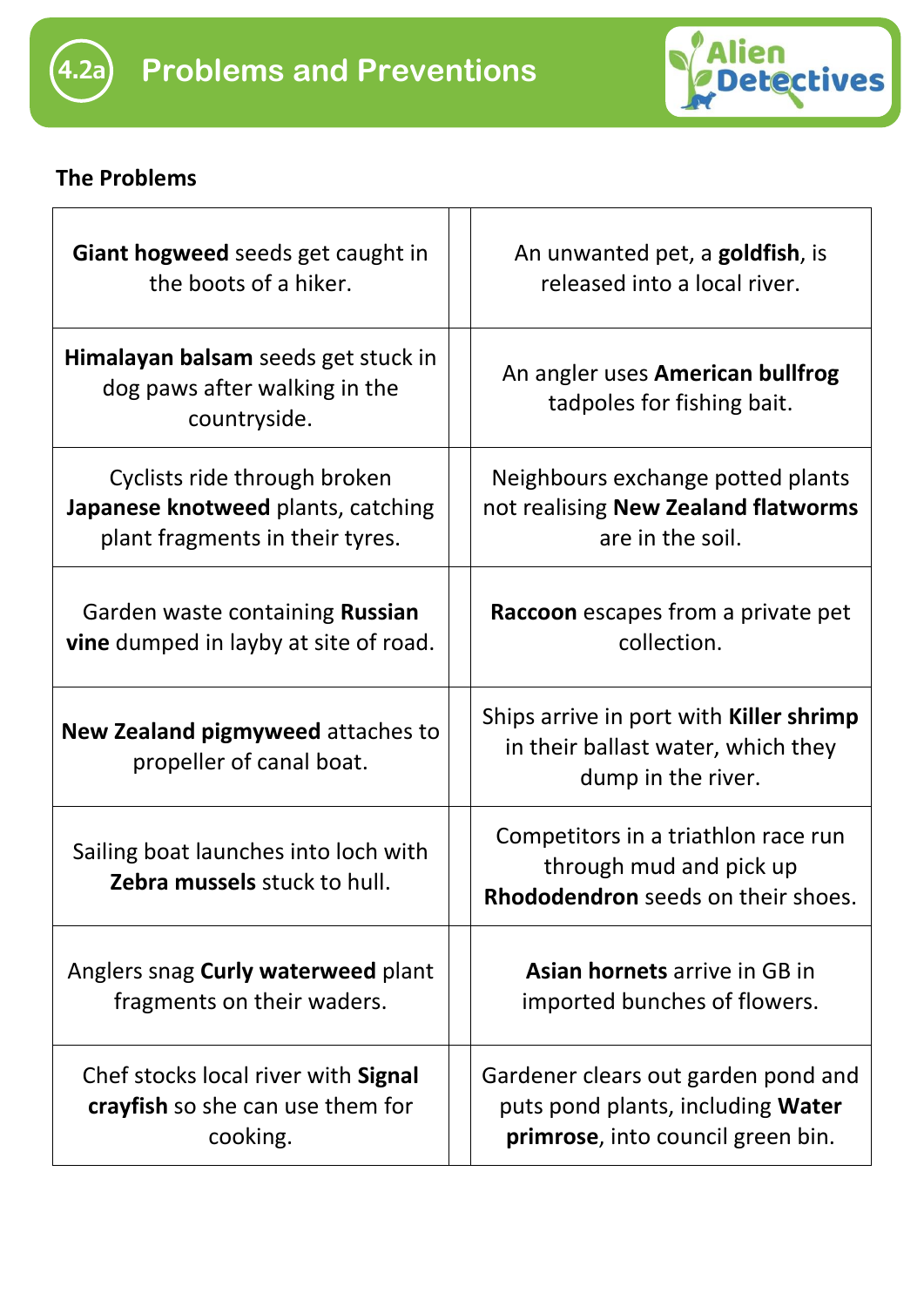



## **The Problems**

| Giant hogweed seeds get caught in<br>the boots of a hiker.                                            | An unwanted pet, a <b>goldfish</b> , is<br>released into a local river.                                              |
|-------------------------------------------------------------------------------------------------------|----------------------------------------------------------------------------------------------------------------------|
| Himalayan balsam seeds get stuck in<br>dog paws after walking in the<br>countryside.                  | An angler uses American bullfrog<br>tadpoles for fishing bait.                                                       |
| Cyclists ride through broken<br>Japanese knotweed plants, catching<br>plant fragments in their tyres. | Neighbours exchange potted plants<br>not realising New Zealand flatworms<br>are in the soil.                         |
| Garden waste containing Russian<br><b>vine</b> dumped in layby at site of road.                       | Raccoon escapes from a private pet<br>collection.                                                                    |
| New Zealand pigmyweed attaches to<br>propeller of canal boat.                                         | Ships arrive in port with <b>Killer shrimp</b><br>in their ballast water, which they<br>dump in the river.           |
| Sailing boat launches into loch with<br>Zebra mussels stuck to hull.                                  | Competitors in a triathlon race run<br>through mud and pick up<br>Rhododendron seeds on their shoes.                 |
| Anglers snag Curly waterweed plant<br>fragments on their waders.                                      | <b>Asian hornets</b> arrive in GB in<br>imported bunches of flowers.                                                 |
| Chef stocks local river with Signal<br>crayfish so she can use them for<br>cooking.                   | Gardener clears out garden pond and<br>puts pond plants, including <b>Water</b><br>primrose, into council green bin. |